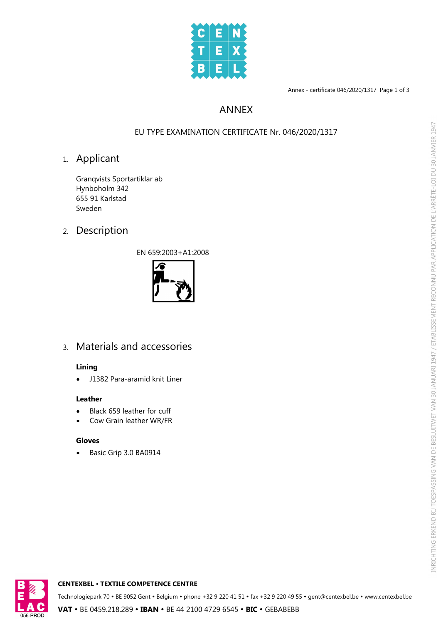

Annex - certificate 046/2020/1317 Page 1 of 3

## ANNEX

### EU TYPE EXAMINATION CERTIFICATE Nr. 046/2020/1317

## 1. Applicant

Granqvists Sportartiklar ab Hynboholm 342 655 91 Karlstad Sweden

# 2. Description

EN 659:2003+A1:2008



# 3. Materials and accessories

#### **Lining**

· J1382 Para-aramid knit Liner

#### **Leather**

- · Black 659 leather for cuff
- · Cow Grain leather WR/FR

#### **Gloves**

· Basic Grip 3.0 BA0914



#### **CENTEXBEL** Ÿ **TEXTILE COMPETENCE CENTRE**

Technologiepark 70 • BE 9052 Gent • Belgium • phone +32 9 220 41 51 • fax +32 9 220 49 55 • gent@centexbel.be • www.centexbel.be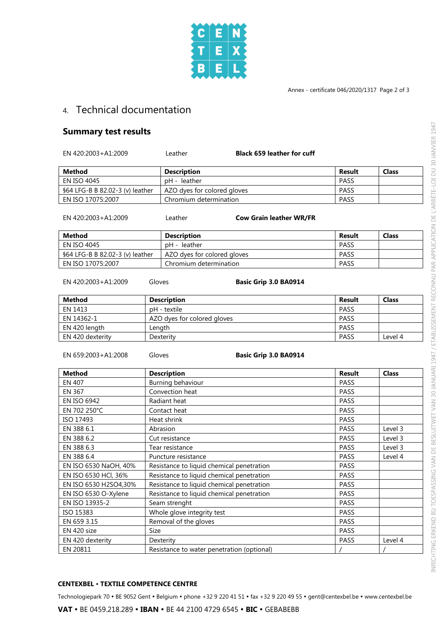

### 4. Technical documentation

### **Summary test results**

EN 420:2003+A1:2009 Leather **Black 659 leather for cuff**

| Method                          | <b>Description</b>          | Result      | <b>Class</b> |
|---------------------------------|-----------------------------|-------------|--------------|
| EN ISO 4045                     | pH - leather                | PASS        |              |
| §64 LFG-B B 82.02-3 (v) leather | AZO dyes for colored gloves | <b>PASS</b> |              |
| EN ISO 17075:2007               | Chromium determination      | <b>PASS</b> |              |

EN 420:2003+A1:2009 Leather **Cow Grain leather WR/FR**

| Method                          | <b>Description</b>          | Result | <b>Class</b> |
|---------------------------------|-----------------------------|--------|--------------|
| EN ISO 4045                     | pH - leather                | PASS   |              |
| §64 LFG-B B 82.02-3 (v) leather | AZO dyes for colored gloves | PASS   |              |
| EN ISO 17075:2007               | Chromium determination      | PASS   |              |

EN 420:2003+A1:2009 Gloves **Basic Grip 3.0 BA0914**

| <b>Method</b>    | <b>Description</b>          | Result      | <b>Class</b> |
|------------------|-----------------------------|-------------|--------------|
| EN 1413          | pH - textile                | <b>PASS</b> |              |
| EN 14362-1       | AZO dyes for colored gloves | <b>PASS</b> |              |
| EN 420 length    | Length                      | <b>PASS</b> |              |
| EN 420 dexterity | Dexterity                   | <b>PASS</b> | Level 4      |

EN 659:2003+A1:2008 Gloves **Basic Grip 3.0 BA0914**

| <b>Method</b>         | <b>Description</b>                         | <b>Result</b> | <b>Class</b> |
|-----------------------|--------------------------------------------|---------------|--------------|
| <b>EN 407</b>         | Burning behaviour                          | <b>PASS</b>   |              |
| <b>EN 367</b>         | Convection heat                            | <b>PASS</b>   |              |
| <b>EN ISO 6942</b>    | Radiant heat                               | <b>PASS</b>   |              |
| EN 702 250°C          | Contact heat                               | <b>PASS</b>   |              |
| ISO 17493             | Heat shrink                                | PASS          |              |
| EN 388 6.1            | Abrasion                                   | <b>PASS</b>   | Level 3      |
| EN 388 6.2            | Cut resistance                             | <b>PASS</b>   | Level 3      |
| EN 388 6.3            | Tear resistance                            | <b>PASS</b>   | Level 3      |
| EN 388 6.4            | Puncture resistance                        | <b>PASS</b>   | Level 4      |
| EN ISO 6530 NaOH, 40% | Resistance to liquid chemical penetration  | PASS          |              |
| EN ISO 6530 HCl, 36%  | Resistance to liquid chemical penetration  | PASS          |              |
| EN ISO 6530 H2SO4,30% | Resistance to liquid chemical penetration  | <b>PASS</b>   |              |
| EN ISO 6530 O-Xylene  | Resistance to liquid chemical penetration  | <b>PASS</b>   |              |
| EN ISO 13935-2        | Seam strenght                              | <b>PASS</b>   |              |
| ISO 15383             | Whole glove integrity test                 | <b>PASS</b>   |              |
| EN 659 3.15           | Removal of the gloves                      | <b>PASS</b>   |              |
| EN 420 size           | Size                                       | PASS          |              |
| EN 420 dexterity      | Dexterity                                  | <b>PASS</b>   | Level 4      |
| EN 20811              | Resistance to water penetration (optional) |               |              |

#### **CENTEXBEL** Ÿ **TEXTILE COMPETENCE CENTRE**

Technologiepark 70 • BE 9052 Gent • Belgium • phone +32 9 220 41 51 • fax +32 9 220 49 55 • gent@centexbel.be • www.centexbel.be